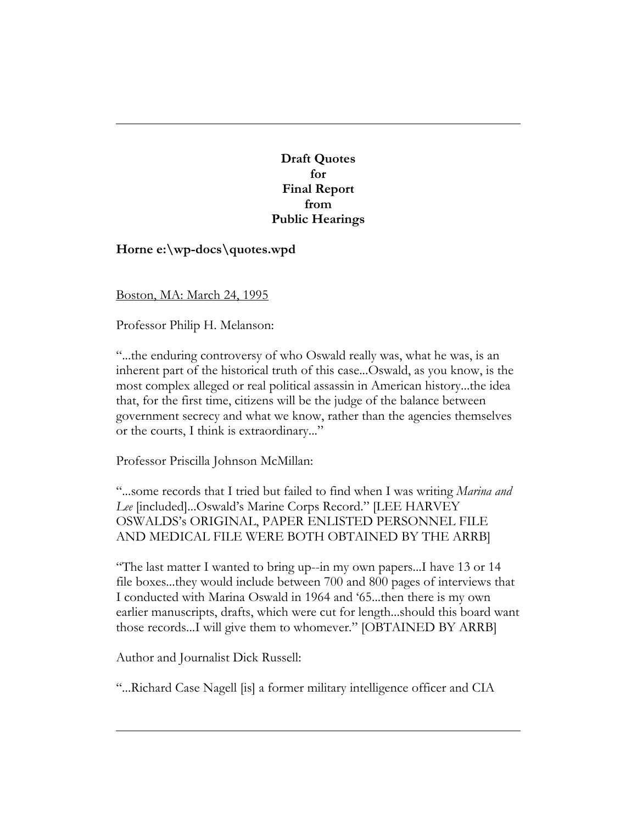**Draft Quotes for Final Report from Public Hearings**

## **Horne e:\wp-docs\quotes.wpd**

Boston, MA: March 24, 1995

Professor Philip H. Melanson:

"...the enduring controversy of who Oswald really was, what he was, is an inherent part of the historical truth of this case...Oswald, as you know, is the most complex alleged or real political assassin in American history...the idea that, for the first time, citizens will be the judge of the balance between government secrecy and what we know, rather than the agencies themselves or the courts, I think is extraordinary..."

Professor Priscilla Johnson McMillan:

"...some records that I tried but failed to find when I was writing *Marina and Lee* [included]...Oswald's Marine Corps Record." [LEE HARVEY OSWALDS's ORIGINAL, PAPER ENLISTED PERSONNEL FILE AND MEDICAL FILE WERE BOTH OBTAINED BY THE ARRB]

"The last matter I wanted to bring up--in my own papers...I have 13 or 14 file boxes...they would include between 700 and 800 pages of interviews that I conducted with Marina Oswald in 1964 and '65...then there is my own earlier manuscripts, drafts, which were cut for length...should this board want those records...I will give them to whomever." [OBTAINED BY ARRB]

Author and Journalist Dick Russell:

"...Richard Case Nagell [is] a former military intelligence officer and CIA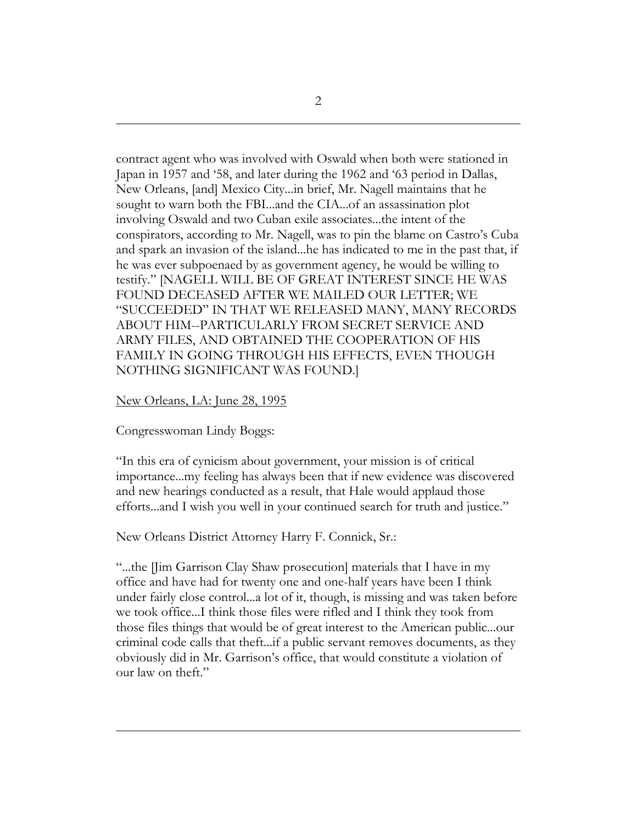contract agent who was involved with Oswald when both were stationed in Japan in 1957 and '58, and later during the 1962 and '63 period in Dallas, New Orleans, [and] Mexico City...in brief, Mr. Nagell maintains that he sought to warn both the FBI...and the CIA...of an assassination plot involving Oswald and two Cuban exile associates...the intent of the conspirators, according to Mr. Nagell, was to pin the blame on Castro's Cuba and spark an invasion of the island...he has indicated to me in the past that, if he was ever subpoenaed by as government agency, he would be willing to testify." [NAGELL WILL BE OF GREAT INTEREST SINCE HE WAS FOUND DECEASED AFTER WE MAILED OUR LETTER; WE "SUCCEEDED" IN THAT WE RELEASED MANY, MANY RECORDS ABOUT HIM--PARTICULARLY FROM SECRET SERVICE AND ARMY FILES, AND OBTAINED THE COOPERATION OF HIS FAMILY IN GOING THROUGH HIS EFFECTS, EVEN THOUGH NOTHING SIGNIFICANT WAS FOUND.]

## New Orleans, LA: June 28, 1995

Congresswoman Lindy Boggs:

"In this era of cynicism about government, your mission is of critical importance...my feeling has always been that if new evidence was discovered and new hearings conducted as a result, that Hale would applaud those efforts...and I wish you well in your continued search for truth and justice."

New Orleans District Attorney Harry F. Connick, Sr.:

"...the [Jim Garrison Clay Shaw prosecution] materials that I have in my office and have had for twenty one and one-half years have been I think under fairly close control...a lot of it, though, is missing and was taken before we took office...I think those files were rifled and I think they took from those files things that would be of great interest to the American public...our criminal code calls that theft...if a public servant removes documents, as they obviously did in Mr. Garrison's office, that would constitute a violation of our law on theft."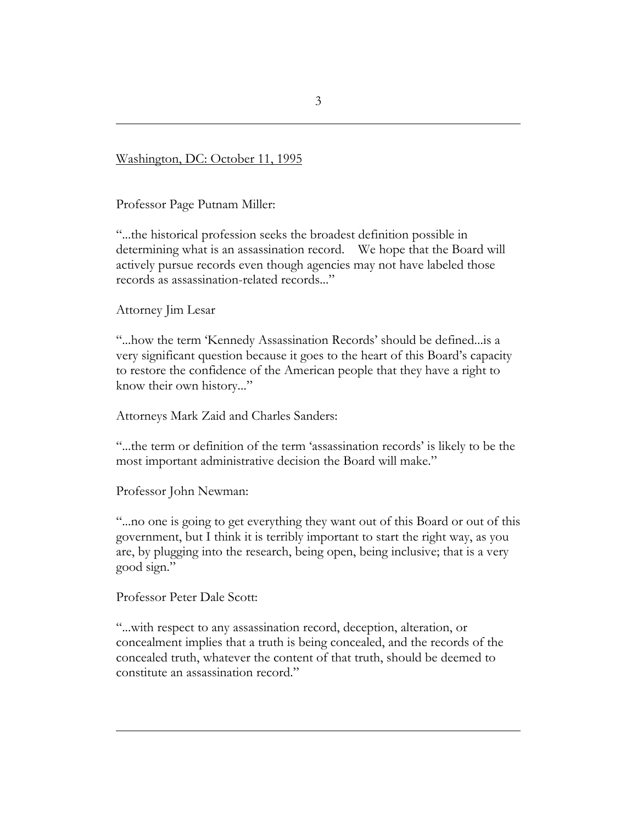Washington, DC: October 11, 1995

Professor Page Putnam Miller:

"...the historical profession seeks the broadest definition possible in determining what is an assassination record. We hope that the Board will actively pursue records even though agencies may not have labeled those records as assassination-related records..."

Attorney Jim Lesar

"...how the term 'Kennedy Assassination Records' should be defined...is a very significant question because it goes to the heart of this Board's capacity to restore the confidence of the American people that they have a right to know their own history..."

Attorneys Mark Zaid and Charles Sanders:

"...the term or definition of the term 'assassination records' is likely to be the most important administrative decision the Board will make."

Professor John Newman:

"...no one is going to get everything they want out of this Board or out of this government, but I think it is terribly important to start the right way, as you are, by plugging into the research, being open, being inclusive; that is a very good sign."

Professor Peter Dale Scott:

"...with respect to any assassination record, deception, alteration, or concealment implies that a truth is being concealed, and the records of the concealed truth, whatever the content of that truth, should be deemed to constitute an assassination record."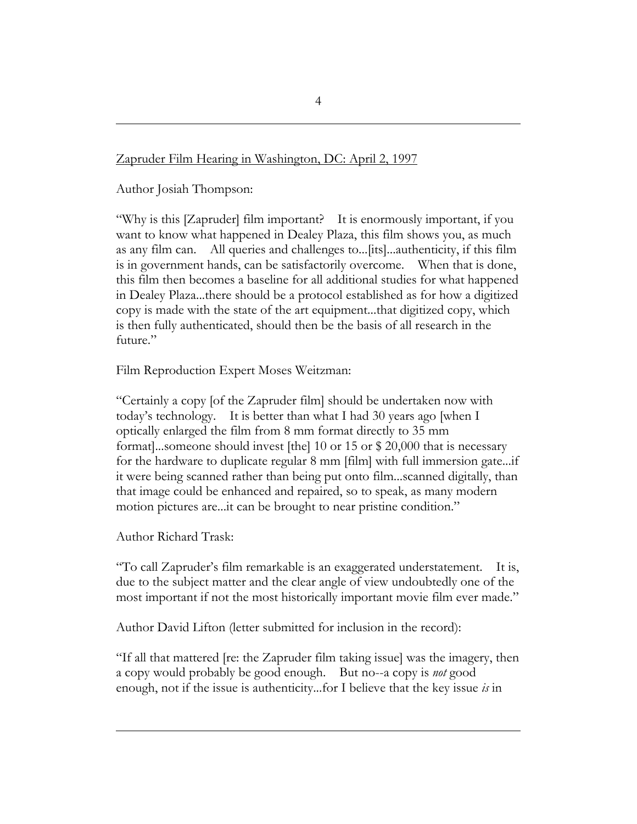## Zapruder Film Hearing in Washington, DC: April 2, 1997

Author Josiah Thompson:

"Why is this [Zapruder] film important? It is enormously important, if you want to know what happened in Dealey Plaza, this film shows you, as much as any film can. All queries and challenges to...[its]...authenticity, if this film is in government hands, can be satisfactorily overcome. When that is done, this film then becomes a baseline for all additional studies for what happened in Dealey Plaza...there should be a protocol established as for how a digitized copy is made with the state of the art equipment...that digitized copy, which is then fully authenticated, should then be the basis of all research in the future."

Film Reproduction Expert Moses Weitzman:

"Certainly a copy [of the Zapruder film] should be undertaken now with today's technology. It is better than what I had 30 years ago [when I optically enlarged the film from 8 mm format directly to 35 mm format]...someone should invest [the] 10 or 15 or \$ 20,000 that is necessary for the hardware to duplicate regular 8 mm [film] with full immersion gate...if it were being scanned rather than being put onto film...scanned digitally, than that image could be enhanced and repaired, so to speak, as many modern motion pictures are...it can be brought to near pristine condition."

Author Richard Trask:

"To call Zapruder's film remarkable is an exaggerated understatement. It is, due to the subject matter and the clear angle of view undoubtedly one of the most important if not the most historically important movie film ever made."

Author David Lifton (letter submitted for inclusion in the record):

"If all that mattered [re: the Zapruder film taking issue] was the imagery, then a copy would probably be good enough. But no--a copy is *not* good enough, not if the issue is authenticity...for I believe that the key issue *is* in